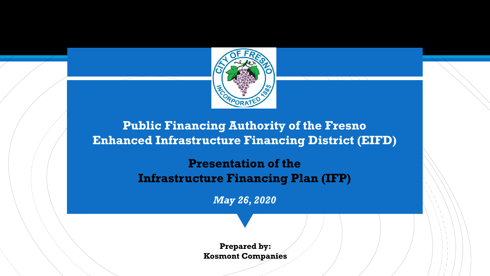

**Public Financing Authority of the Fresno Enhanced Infrastructure Financing District (EIFD)** 

> **Presentation of the Infrastructure Financing Plan (IFP)**

> > *May 26, 2020*

**Prepared by: Kosmont Companies**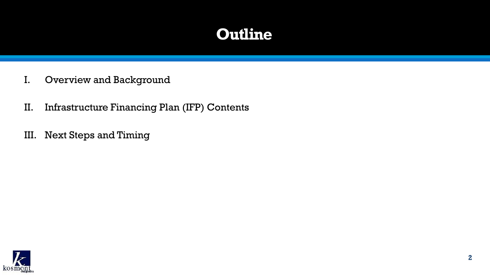## **Outline**

- I. Overview and Background
- II. Infrastructure Financing Plan (IFP) Contents
- III. Next Steps and Timing

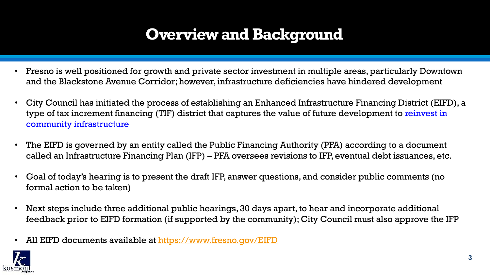## **Overview and Background**

- Fresno is well positioned for growth and private sector investment in multiple areas, particularly Downtown and the Blackstone Avenue Corridor; however, infrastructure deficiencies have hindered development
- City Council has initiated the process of establishing an Enhanced Infrastructure Financing District (EIFD), a type of tax increment financing (TIF) district that captures the value of future development to reinvest in community infrastructure
- The EIFD is governed by an entity called the Public Financing Authority (PFA) according to a document called an Infrastructure Financing Plan (IFP) – PFA oversees revisions to IFP, eventual debt issuances, etc.
- Goal of today's hearing is to present the draft IFP, answer questions, and consider public comments (no formal action to be taken)
- *Communicating in a Digital World* feedback prior to EIFD formation (if supported by the community); City Council must also approve the IFP • Next steps include three additional public hearings, 30 days apart, to hear and incorporate additional
- All EIFD documents available at<https://www.fresno.gov/EIFD>

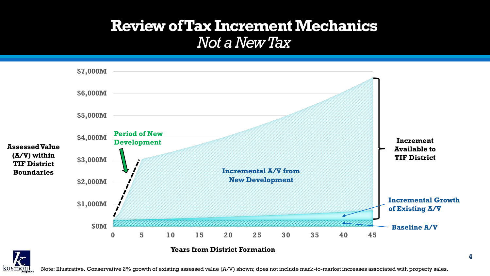#### **Review of Tax Increment Mechanics** *Not a New Tax*



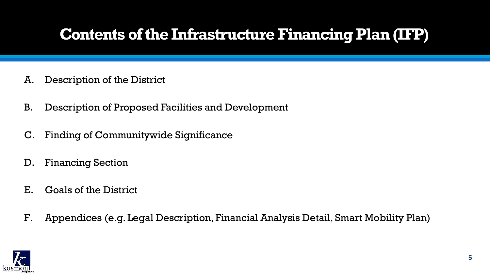## **Contents of the Infrastructure Financing Plan (IFP)**

- A. Description of the District
- B. Description of Proposed Facilities and Development
- C. Finding of Communitywide Significance
- D. Financing Section
- E. Goals of the District
- F. Appendices (e.g. Legal Description, Financial Analysis Detail, Smart Mobility Plan)

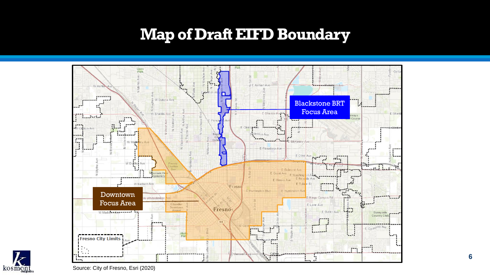### **Map of Draft EIFD Boundary**

![](_page_5_Figure_1.jpeg)

![](_page_5_Picture_2.jpeg)

Source: City of Fresno, Esri (2020)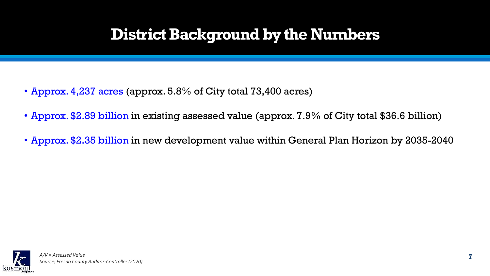## **District Background by the Numbers**

- Approx. 4,237 acres (approx. 5.8% of City total 73,400 acres)
- Approx. \$2.89 billion in existing assessed value (approx. 7.9% of City total \$36.6 billion)
- Approx. \$2.35 billion in new development value within General Plan Horizon by 2035-2040

![](_page_6_Picture_4.jpeg)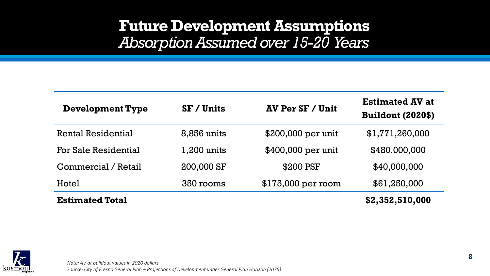#### **Future Development Assumptions** *Absorption Assumed over 15-20 Years*

| <b>Development Type</b> | $SF /$ Units | <b>AV Per SF / Unit</b> | <b>Estimated AV at</b><br><b>Buildout (2020\$)</b> |
|-------------------------|--------------|-------------------------|----------------------------------------------------|
| Rental Residential      | 8,856 units  | $$200,000$ per unit     | \$1,771,260,000                                    |
| For Sale Residential    | 1,200 units  | \$400,000 per unit      | \$480,000,000                                      |
| Commercial / Retail     | 200,000 SF   | \$200 PSF               | \$40,000,000                                       |
| Hotel                   | 350 rooms    | $$175,000$ per room     | \$61,250,000                                       |
| <b>Estimated Total</b>  |              |                         | \$2,352,510,000                                    |

![](_page_7_Picture_2.jpeg)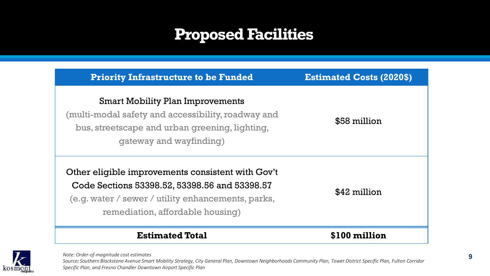## **Proposed Facilities**

| <b>Priority Infrastructure to be Funded</b>                                                                                                                                                  | <b>Estimated Costs (2020\$)</b> |  |
|----------------------------------------------------------------------------------------------------------------------------------------------------------------------------------------------|---------------------------------|--|
| <b>Smart Mobility Plan Improvements</b><br>(multi-modal safety and accessibility, roadway and<br>bus, streetscape and urban greening, lighting,<br>qateway and wayfinding)                   | \$58 million                    |  |
| Other eligible improvements consistent with Gov't<br>Code Sections 53398.52, 53398.56 and 53398.57<br>(e.g. water / sewer / utility enhancements, parks,<br>remediation, affordable housing) | \$42 million                    |  |
| <b>Estimated Total</b>                                                                                                                                                                       | \$100 million                   |  |

 $\boldsymbol{k}$ kosmont *Note: Order-of-magnitude cost estimates*

*Source: Southern Blackstone Avenue Smart Mobility Strategy, City General Plan, Downtown Neighborhoods Community Plan, Tower District Specific Plan, Fulton Corridor Specific Plan, and Fresno Chandler Downtown Airport Specific Plan*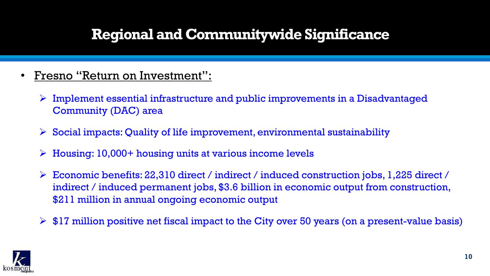### **Regional and Communitywide Significance**

- Fresno "Return on Investment":
	- $\triangleright$  Implement essential infrastructure and public improvements in a Disadvantaged Community (DAC) area
	- Social impacts: Quality of life improvement, environmental sustainability
	- $\triangleright$  Housing: 10,000+ housing units at various income levels
	- Economic benefits: 22,310 direct / indirect / induced construction jobs, 1,225 direct / indirect / induced permanent jobs, \$3.6 billion in economic output from construction, \$211 million in annual ongoing economic output
	- $\triangleright$  \$17 million positive net fiscal impact to the City over 50 years (on a present-value basis)

![](_page_9_Picture_7.jpeg)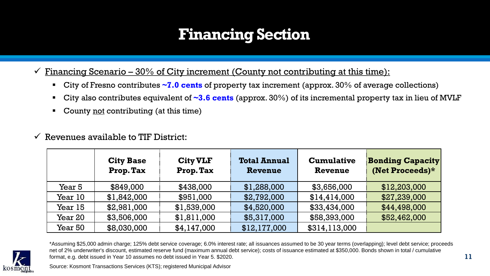## **Financing Section**

Financing Scenario –  $30\%$  of City increment (County not contributing at this time):

- City of Fresno contributes **~7.0 cents** of property tax increment (approx. 30% of average collections)
- City also contributes equivalent of **~3.6 cents** (approx. 30%) of its incremental property tax in lieu of MVLF
- County not contributing (at this time)
- $\checkmark$  Revenues available to TIF District:

|                | <b>City Base</b><br>Prop. Tax | <b>City VLF</b><br>Prop. Tax | <b>Total Annual</b><br>Revenue | <b>Cumulative</b><br>Revenue | <b>Bonding Capacity</b><br>(Net Proceeds)* |
|----------------|-------------------------------|------------------------------|--------------------------------|------------------------------|--------------------------------------------|
| Year 5         | \$849,000                     | \$438,000                    | \$1,288,000                    | \$3,656,000                  | \$12,203,000                               |
| Year 10        | \$1,842,000                   | \$951,000                    | \$2,792,000                    | \$14,414,000                 | \$27,239,000                               |
| Year 15        | \$2,981,000                   | \$1,539,000                  | \$4,520,000                    | \$33,434,000                 | \$44,498,000                               |
| <b>Year 20</b> | \$3,506,000                   | \$1,811,000                  | \$5,317,000                    | \$58,393,000                 | \$52,462,000                               |
| <b>Year 50</b> | \$8,030,000                   | \$4,147,000                  | \$12,177,000                   | \$314,113,000                |                                            |

![](_page_10_Picture_7.jpeg)

\*Assuming \$25,000 admin charge; 125% debt service coverage; 6.0% interest rate; all issuances assumed to be 30 year terms (overlapping); level debt service; proceeds net of 2% underwriter's discount, estimated reserve fund (maximum annual debt service); costs of issuance estimated at \$350,000. Bonds shown in total / cumulative format, e.g. debt issued in Year 10 assumes no debt issued in Year 5. \$2020.

Source: Kosmont Transactions Services (KTS); registered Municipal Advisor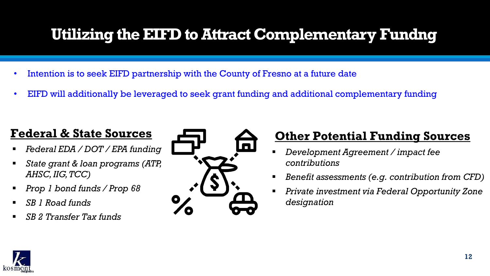## **Utilizing the EIFD to Attract Complementary Fundng**

- Intention is to seek EIFD partnership with the County of Fresno at a future date
- EIFD will additionally be leveraged to seek grant funding and additional complementary funding

#### **Federal & State Sources**

- *Federal EDA / DOT / EPA funding*
- *State grant & loan programs (ATP, AHSC, IIG, TCC)*
- *Prop 1 bond funds / Prop 68*
- *SB 1 Road funds*
- *SB 2 Transfer Tax funds*

![](_page_11_Picture_9.jpeg)

#### **Other Potential Funding Sources**

- *Development Agreement / impact fee contributions*
- *Benefit assessments (e.g. contribution from CFD)*
- *Private investment via Federal Opportunity Zone designation*

![](_page_11_Picture_14.jpeg)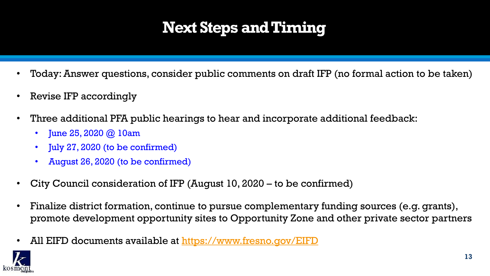# **Next Steps and Timing**

- Today: Answer questions, consider public comments on draft IFP (no formal action to be taken)
- Revise IFP accordingly
- Three additional PFA public hearings to hear and incorporate additional feedback:
	- June 25, 2020  $\omega$  10am
	- July 27, 2020 (to be confirmed)
	- August 26, 2020 (to be confirmed)
- City Council consideration of IFP (August 10, 2020 to be confirmed)
- Finalize district formation, continue to pursue complementary funding sources (e.g. grants), promote development opportunity sites to Opportunity Zone and other private sector partners
- All EIFD documents available at <https://www.fresno.gov/EIFD>

![](_page_12_Picture_10.jpeg)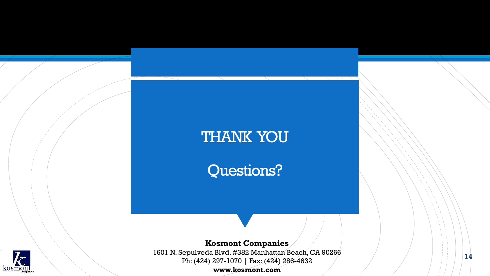#### THANK YOU

Questions?

![](_page_13_Picture_2.jpeg)

**Kosmont Companies** 1601 N. Sepulveda Blvd. #382 Manhattan Beach, CA 90266 Ph: (424) 297-1070 | Fax: (424) 286-4632

**www.kosmont.com**